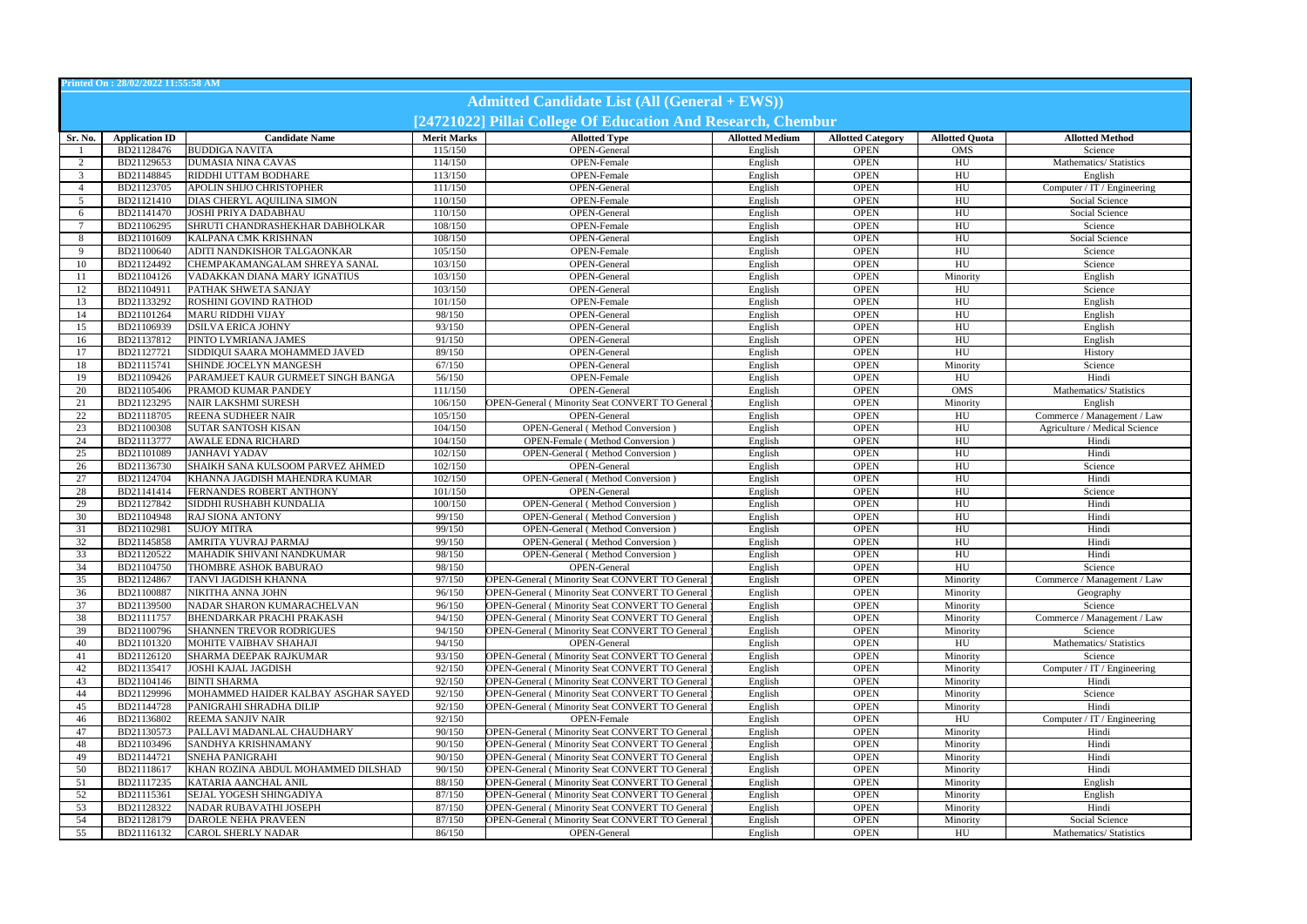| Printed On: 28/02/2022 11:55:58 AM                   |                       |                                     |                    |                                                              |                        |                          |                       |                               |  |  |  |  |
|------------------------------------------------------|-----------------------|-------------------------------------|--------------------|--------------------------------------------------------------|------------------------|--------------------------|-----------------------|-------------------------------|--|--|--|--|
| <b>Admitted Candidate List (All (General + EWS))</b> |                       |                                     |                    |                                                              |                        |                          |                       |                               |  |  |  |  |
|                                                      |                       |                                     |                    |                                                              |                        |                          |                       |                               |  |  |  |  |
|                                                      |                       |                                     |                    | [24721022] Pillai College Of Education And Research, Chembur |                        |                          |                       |                               |  |  |  |  |
| Sr. No.                                              | <b>Application ID</b> | <b>Candidate Name</b>               | <b>Merit Marks</b> | <b>Allotted Type</b>                                         | <b>Allotted Medium</b> | <b>Allotted Category</b> | <b>Allotted Quota</b> | <b>Allotted Method</b>        |  |  |  |  |
|                                                      | BD21128476            | <b>BUDDIGA NAVITA</b>               | 115/150            | OPEN-General                                                 | English                | <b>OPEN</b>              | <b>OMS</b>            | Science                       |  |  |  |  |
| 2                                                    | BD21129653            | <b>DUMASIA NINA CAVAS</b>           | 114/150            | OPEN-Female                                                  | English                | <b>OPEN</b>              | HU                    | Mathematics/ Statistics       |  |  |  |  |
| 3                                                    | BD21148845            | RIDDHI UTTAM BODHARE                | 113/150            | OPEN-Female                                                  | English                | <b>OPEN</b>              | ${\rm H}{\rm U}$      | English                       |  |  |  |  |
| -4                                                   | BD21123705            | APOLIN SHIJO CHRISTOPHER            | 111/150            | <b>OPEN-General</b>                                          | English                | <b>OPEN</b>              | H <sub>U</sub>        | Computer / IT / Engineering   |  |  |  |  |
| - 5                                                  | BD21121410            | DIAS CHERYL AQUILINA SIMON          | 110/150            | OPEN-Female                                                  | English                | <b>OPEN</b>              | $H$ U                 | Social Science                |  |  |  |  |
| 6                                                    | BD21141470            | <b>JOSHI PRIYA DADABHAU</b>         | 110/150            | OPEN-General                                                 | English                | <b>OPEN</b>              | HU                    | Social Science                |  |  |  |  |
| -7                                                   | BD21106295            | SHRUTI CHANDRASHEKHAR DABHOLKAR     | 108/150            | OPEN-Female                                                  | English                | <b>OPEN</b>              | HU                    | Science                       |  |  |  |  |
| 8                                                    | BD21101609            | KALPANA CMK KRISHNAN                | 108/150            | OPEN-General                                                 | English                | <b>OPEN</b>              | $H$ U                 | Social Science                |  |  |  |  |
| 9                                                    | BD21100640            | ADITI NANDKISHOR TALGAONKAR         | 105/150            | OPEN-Female                                                  | English                | <b>OPEN</b>              | HU                    | Science                       |  |  |  |  |
| 10                                                   | BD21124492            | CHEMPAKAMANGALAM SHREYA SANAL       | 103/150            | OPEN-General                                                 | English                | <b>OPEN</b>              | H <sub>U</sub>        | Science                       |  |  |  |  |
| -11                                                  | BD21104126            | VADAKKAN DIANA MARY IGNATIUS        | 103/150            | OPEN-General                                                 | English                | <b>OPEN</b>              | Minority              | English                       |  |  |  |  |
| 12                                                   | BD21104911            | PATHAK SHWETA SANJAY                | 103/150            | OPEN-General                                                 | English                | <b>OPEN</b>              | HU                    | Science                       |  |  |  |  |
| 13                                                   | BD21133292            | ROSHINI GOVIND RATHOD               | 101/150            | <b>OPEN-Female</b>                                           | English                | <b>OPEN</b>              | H <sub>U</sub>        | English                       |  |  |  |  |
| 14                                                   | BD21101264            | <b>MARU RIDDHI VIJAY</b>            | 98/150             | OPEN-General                                                 | English                | <b>OPEN</b>              | HU                    | English                       |  |  |  |  |
| 15                                                   | BD21106939            | <b>DSILVA ERICA JOHNY</b>           | 93/150             | OPEN-General                                                 | English                | <b>OPEN</b>              | HU                    | English                       |  |  |  |  |
| 16                                                   | BD21137812            | PINTO LYMRIANA JAMES                | 91/150             | OPEN-General                                                 | English                | <b>OPEN</b>              | $H$ U                 | English                       |  |  |  |  |
| 17                                                   | BD21127721            | SIDDIQUI SAARA MOHAMMED JAVED       | 89/150             | OPEN-General                                                 | English                | <b>OPEN</b>              | HU                    |                               |  |  |  |  |
|                                                      |                       | SHINDE JOCELYN MANGESH              |                    |                                                              |                        |                          |                       | History                       |  |  |  |  |
| -18                                                  | BD21115741            | PARAMJEET KAUR GURMEET SINGH BANGA  | 67/150             | OPEN-General                                                 | English                | <b>OPEN</b>              | Minority              | Science                       |  |  |  |  |
| 19                                                   | BD21109426            |                                     | 56/150             | OPEN-Female                                                  | English                | <b>OPEN</b>              | H <sub>U</sub>        | Hindi                         |  |  |  |  |
| 20                                                   | BD21105406            | PRAMOD KUMAR PANDEY                 | 111/150            | <b>OPEN-General</b>                                          | English                | <b>OPEN</b>              | OMS                   | Mathematics/ Statistics       |  |  |  |  |
| 21                                                   | BD21123295            | <b>NAIR LAKSHMI SURESH</b>          | 106/150            | OPEN-General (Minority Seat CONVERT TO General               | English                | <b>OPEN</b>              | Minority              | English                       |  |  |  |  |
| 22                                                   | BD21118705            | <b>REENA SUDHEER NAIR</b>           | 105/150            | OPEN-General                                                 | English                | <b>OPEN</b>              | HU                    | Commerce / Management / Law   |  |  |  |  |
| 23                                                   | BD21100308            | SUTAR SANTOSH KISAN                 | 104/150            | OPEN-General (Method Conversion)                             | English                | <b>OPEN</b>              | H <sub>U</sub>        | Agriculture / Medical Science |  |  |  |  |
| 24                                                   | BD21113777            | AWALE EDNA RICHARD                  | 104/150            | OPEN-Female (Method Conversion)                              | English                | <b>OPEN</b>              | H <sub>U</sub>        | Hindi                         |  |  |  |  |
| 25                                                   | BD21101089            | <b>JANHAVI YADAV</b>                | 102/150            | <b>OPEN-General</b> (Method Conversion)                      | English                | <b>OPEN</b>              | HU                    | Hindi                         |  |  |  |  |
| 26                                                   | BD21136730            | SHAIKH SANA KULSOOM PARVEZ AHMED    | 102/150            | OPEN-General                                                 | English                | <b>OPEN</b>              | HU                    | Science                       |  |  |  |  |
| 27                                                   | BD21124704            | KHANNA JAGDISH MAHENDRA KUMAR       | 102/150            | OPEN-General (Method Conversion)                             | English                | <b>OPEN</b>              | H <sub>U</sub>        | Hindi                         |  |  |  |  |
| 28                                                   | BD21141414            | FERNANDES ROBERT ANTHONY            | 101/150            | OPEN-General                                                 | English                | <b>OPEN</b>              | HU                    | Science                       |  |  |  |  |
| 29                                                   | BD21127842            | SIDDHI RUSHABH KUNDALIA             | 100/150            | <b>OPEN-General</b> (Method Conversion)                      | English                | <b>OPEN</b>              | H <sub>U</sub>        | Hindi                         |  |  |  |  |
| 30                                                   | BD21104948            | <b>RAJ SIONA ANTONY</b>             | 99/150             | <b>OPEN-General</b> (Method Conversion)                      | English                | <b>OPEN</b>              | $H$ U                 | Hindi                         |  |  |  |  |
| 31                                                   | BD21102981            | <b>SUJOY MITRA</b>                  | 99/150             | <b>OPEN-General</b> (Method Conversion)                      | English                | <b>OPEN</b>              | $H$ U                 | Hindi                         |  |  |  |  |
| 32                                                   | BD21145858            | <b>AMRITA YUVRAJ PARMAJ</b>         | 99/150             | <b>OPEN-General</b> (Method Conversion)                      | English                | <b>OPEN</b>              | HU                    | Hindi                         |  |  |  |  |
| 33                                                   | BD21120522            | MAHADIK SHIVANI NANDKUMAR           | 98/150             | OPEN-General (Method Conversion)                             | English                | <b>OPEN</b>              | HU                    | Hindi                         |  |  |  |  |
| 34                                                   | BD21104750            | THOMBRE ASHOK BABURAO               | 98/150             | OPEN-General                                                 | English                | ${\sf OPEN}$             | H <sub>U</sub>        | Science                       |  |  |  |  |
| 35                                                   | BD21124867            | TANVI JAGDISH KHANNA                | 97/150             | OPEN-General (Minority Seat CONVERT TO General               | English                | <b>OPEN</b>              | Minority              | Commerce / Management / Law   |  |  |  |  |
| 36                                                   | BD21100887            | NIKITHA ANNA JOHN                   | 96/150             | <b>OPEN-General (Minority Seat CONVERT TO General</b>        | English                | <b>OPEN</b>              | Minority              | Geography                     |  |  |  |  |
| 37                                                   | BD21139500            | NADAR SHARON KUMARACHELVAN          | 96/150             | OPEN-General (Minority Seat CONVERT TO General               | English                | <b>OPEN</b>              | Minority              | Science                       |  |  |  |  |
| 38                                                   | BD21111757            | <b>BHENDARKAR PRACHI PRAKASH</b>    | 94/150             | OPEN-General (Minority Seat CONVERT TO General               | English                | <b>OPEN</b>              | Minority              | Commerce / Management / Law   |  |  |  |  |
| 39                                                   | BD21100796            | <b>SHANNEN TREVOR RODRIGUES</b>     | 94/150             | <b>OPEN-General (Minority Seat CONVERT TO General</b>        | English                | <b>OPEN</b>              | Minority              | Science                       |  |  |  |  |
| 40                                                   | BD21101320            | MOHITE VAIBHAV SHAHAJI              | 94/150             | OPEN-General                                                 | English                | <b>OPEN</b>              | HU                    | Mathematics/ Statistics       |  |  |  |  |
| 41                                                   | BD21126120            | SHARMA DEEPAK RAJKUMAR              | 93/150             | OPEN-General (Minority Seat CONVERT TO General               | English                | <b>OPEN</b>              | Minority              | Science                       |  |  |  |  |
| 42                                                   | BD21135417            | <b>JOSHI KAJAL JAGDISH</b>          | 92/150             | OPEN-General (Minority Seat CONVERT TO General               | English                | <b>OPEN</b>              | Minority              | Computer / $IT$ / Engineering |  |  |  |  |
| 43                                                   | BD21104146            | <b>BINTI SHARMA</b>                 | 92/150             | OPEN-General (Minority Seat CONVERT TO General               | English                | <b>OPEN</b>              | Minority              | Hindi                         |  |  |  |  |
| 44                                                   | BD21129996            | MOHAMMED HAIDER KALBAY ASGHAR SAYED | 92/150             | OPEN-General (Minority Seat CONVERT TO General               | English                | <b>OPEN</b>              | Minority              | Science                       |  |  |  |  |
| 45                                                   | BD21144728            | PANIGRAHI SHRADHA DILIP             | 92/150             | OPEN-General (Minority Seat CONVERT TO General               | English                | <b>OPEN</b>              | Minority              | Hindi                         |  |  |  |  |
| 46                                                   | BD21136802            | <b>REEMA SANJIV NAIR</b>            | 92/150             | OPEN-Female                                                  | English                | <b>OPEN</b>              | HU                    | Computer / IT / Engineering   |  |  |  |  |
| 47                                                   | BD21130573            | PALLAVI MADANLAL CHAUDHARY          | 90/150             | <b>OPEN-General (Minority Seat CONVERT TO General</b>        | English                | <b>OPEN</b>              | Minority              | Hindi                         |  |  |  |  |
| 48                                                   | BD21103496            | SANDHYA KRISHNAMANY                 | 90/150             | <b>OPEN-General (Minority Seat CONVERT TO General</b>        | English                | <b>OPEN</b>              | Minority              | Hindi                         |  |  |  |  |
| 49                                                   | BD21144721            | <b>SNEHA PANIGRAHI</b>              | 90/150             | <b>OPEN-General (Minority Seat CONVERT TO General</b>        | English                | <b>OPEN</b>              | Minority              | Hindi                         |  |  |  |  |
| 50                                                   | BD21118617            | KHAN ROZINA ABDUL MOHAMMED DILSHAD  | 90/150             | <b>OPEN-General (Minority Seat CONVERT TO General</b>        | English                | <b>OPEN</b>              | Minority              | Hindi                         |  |  |  |  |
| 51                                                   | BD21117235            | KATARIA AANCHAL ANIL                | 88/150             | <b>OPEN-General (Minority Seat CONVERT TO General</b>        | English                | <b>OPEN</b>              | Minority              | English                       |  |  |  |  |
| 52                                                   | BD21115361            | SEJAL YOGESH SHINGADIYA             | 87/150             | <b>OPEN-General (Minority Seat CONVERT TO General</b>        | English                | <b>OPEN</b>              | Minority              | English                       |  |  |  |  |
| 53                                                   | BD21128322            | NADAR RUBAVATHI JOSEPH              | 87/150             | OPEN-General (Minority Seat CONVERT TO General               | English                | <b>OPEN</b>              | Minority              | Hindi                         |  |  |  |  |
| 54                                                   | BD21128179            | <b>DAROLE NEHA PRAVEEN</b>          | 87/150             | <b>OPEN-General (Minority Seat CONVERT TO General</b>        | English                | <b>OPEN</b>              | Minority              | Social Science                |  |  |  |  |
| 55                                                   | BD21116132            | <b>CAROL SHERLY NADAR</b>           | 86/150             | OPEN-General                                                 | English                | <b>OPEN</b>              | HU                    | Mathematics/ Statistics       |  |  |  |  |
|                                                      |                       |                                     |                    |                                                              |                        |                          |                       |                               |  |  |  |  |